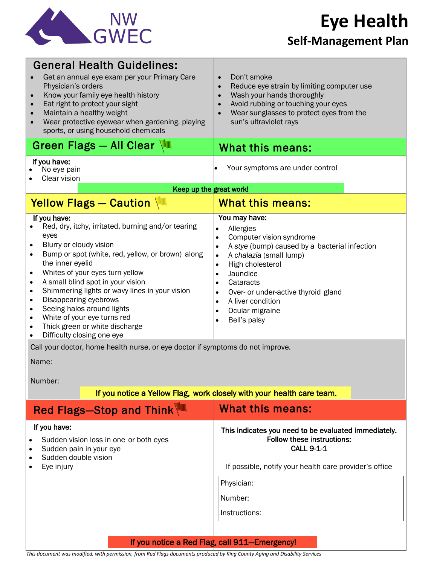

## **Self-Management Plan**

| <b>General Health Guidelines:</b><br>Get an annual eye exam per your Primary Care<br>Physician's orders<br>Know your family eye health history<br>$\bullet$<br>Eat right to protect your sight<br>$\bullet$<br>Maintain a healthy weight<br>$\bullet$<br>Wear protective eyewear when gardening, playing<br>sports, or using household chemicals<br>Green Flags - All Clear                                                                                                                                                                                                                      | Don't smoke<br>$\bullet$<br>Reduce eye strain by limiting computer use<br>$\bullet$<br>Wash your hands thoroughly<br>$\bullet$<br>Avoid rubbing or touching your eyes<br>$\bullet$<br>Wear sunglasses to protect eyes from the<br>sun's ultraviolet rays                                                                                                                                                                      |
|--------------------------------------------------------------------------------------------------------------------------------------------------------------------------------------------------------------------------------------------------------------------------------------------------------------------------------------------------------------------------------------------------------------------------------------------------------------------------------------------------------------------------------------------------------------------------------------------------|-------------------------------------------------------------------------------------------------------------------------------------------------------------------------------------------------------------------------------------------------------------------------------------------------------------------------------------------------------------------------------------------------------------------------------|
|                                                                                                                                                                                                                                                                                                                                                                                                                                                                                                                                                                                                  | <b>What this means:</b>                                                                                                                                                                                                                                                                                                                                                                                                       |
| If you have:<br>No eye pain<br>Clear vision<br>Keep up the great work!                                                                                                                                                                                                                                                                                                                                                                                                                                                                                                                           | Your symptoms are under control                                                                                                                                                                                                                                                                                                                                                                                               |
|                                                                                                                                                                                                                                                                                                                                                                                                                                                                                                                                                                                                  |                                                                                                                                                                                                                                                                                                                                                                                                                               |
| Yellow Flags - Caution                                                                                                                                                                                                                                                                                                                                                                                                                                                                                                                                                                           | <b>What this means:</b>                                                                                                                                                                                                                                                                                                                                                                                                       |
| If you have:<br>Red, dry, itchy, irritated, burning and/or tearing<br>eyes<br>Blurry or cloudy vision<br>$\bullet$<br>Bump or spot (white, red, yellow, or brown) along<br>$\bullet$<br>the inner eyelid<br>Whites of your eyes turn yellow<br>$\bullet$<br>A small blind spot in your vision<br>$\bullet$<br>Shimmering lights or wavy lines in your vision<br>$\bullet$<br>Disappearing eyebrows<br>$\bullet$<br>Seeing halos around lights<br>$\bullet$<br>White of your eye turns red<br>$\bullet$<br>Thick green or white discharge<br>$\bullet$<br>Difficulty closing one eye<br>$\bullet$ | You may have:<br>Allergies<br>$\bullet$<br>Computer vision syndrome<br>$\bullet$<br>A stye (bump) caused by a bacterial infection<br>$\bullet$<br>A chalazia (small lump)<br>$\bullet$<br>High cholesterol<br>$\bullet$<br>Jaundice<br>$\bullet$<br>Cataracts<br>$\bullet$<br>Over- or under-active thyroid gland<br>$\bullet$<br>A liver condition<br>$\bullet$<br>Ocular migraine<br>$\bullet$<br>Bell's palsy<br>$\bullet$ |
| Call your doctor, home health nurse, or eye doctor if symptoms do not improve.                                                                                                                                                                                                                                                                                                                                                                                                                                                                                                                   |                                                                                                                                                                                                                                                                                                                                                                                                                               |
| Name:                                                                                                                                                                                                                                                                                                                                                                                                                                                                                                                                                                                            |                                                                                                                                                                                                                                                                                                                                                                                                                               |
| Number:                                                                                                                                                                                                                                                                                                                                                                                                                                                                                                                                                                                          |                                                                                                                                                                                                                                                                                                                                                                                                                               |
| If you notice a Yellow Flag, work closely with your health care team.                                                                                                                                                                                                                                                                                                                                                                                                                                                                                                                            |                                                                                                                                                                                                                                                                                                                                                                                                                               |
| Red Flags-Stop and Think                                                                                                                                                                                                                                                                                                                                                                                                                                                                                                                                                                         | What this means:                                                                                                                                                                                                                                                                                                                                                                                                              |
|                                                                                                                                                                                                                                                                                                                                                                                                                                                                                                                                                                                                  |                                                                                                                                                                                                                                                                                                                                                                                                                               |
| If you have:<br>Sudden vision loss in one or both eyes<br>Sudden pain in your eye<br>Sudden double vision<br>Eye injury                                                                                                                                                                                                                                                                                                                                                                                                                                                                          | This indicates you need to be evaluated immediately.<br>Follow these instructions:<br><b>CALL 9-1-1</b><br>If possible, notify your health care provider's office                                                                                                                                                                                                                                                             |
|                                                                                                                                                                                                                                                                                                                                                                                                                                                                                                                                                                                                  | Physician:                                                                                                                                                                                                                                                                                                                                                                                                                    |
|                                                                                                                                                                                                                                                                                                                                                                                                                                                                                                                                                                                                  |                                                                                                                                                                                                                                                                                                                                                                                                                               |
|                                                                                                                                                                                                                                                                                                                                                                                                                                                                                                                                                                                                  | Number:                                                                                                                                                                                                                                                                                                                                                                                                                       |
|                                                                                                                                                                                                                                                                                                                                                                                                                                                                                                                                                                                                  | Instructions:                                                                                                                                                                                                                                                                                                                                                                                                                 |
|                                                                                                                                                                                                                                                                                                                                                                                                                                                                                                                                                                                                  |                                                                                                                                                                                                                                                                                                                                                                                                                               |
| If you notice a Red Flag, call 911-Emergency!                                                                                                                                                                                                                                                                                                                                                                                                                                                                                                                                                    |                                                                                                                                                                                                                                                                                                                                                                                                                               |

*This document was modified, with permission, from Red Flags documents produced by King County Aging and Disability Services*